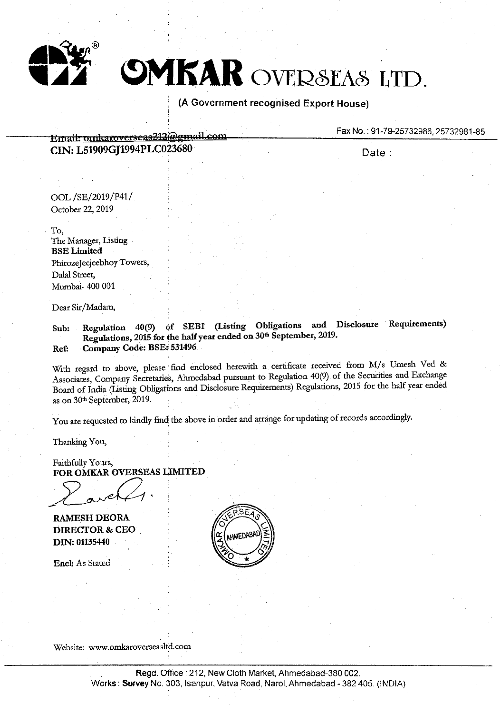

# **SMKAR** OVERSEAS LTD.

### **(A Government recognised Export House)**

Fax No.: 91-79-25732986, 25732981-85

**Entail. unxkaro** *y* **ctseas2t2@gm.ai.l.~Qm CIN: L51909GJ1994PLC023680** 

Date:

OOL /SE/2019/P41/ October 22, 2019

. To, The Manager, Listing **BSELimited**  PhirozeJeejeebhoy Towers, Dalal Street, Mumbai- 400 001

Dear Sir/Madam,

**Sub: Regulation 40(9) of SEBI (Listing Obligations and Disclosure Requirements) Regulations, 2015 for the half year ended on 30th September, 2019. Ref: Company Code: BSE: 531496** 

With regard to above, please find enclosed herewith a certificate received from M/s Umesh Ved & Associates, Company Secretaries, Ahmedabad pursuant to Regulation 40(9) of the Securities and Exchange Board of India (Listing Obligations and Disclosure Requirements) Regulations, 2015 for the half year ended as on 30th September, 2019.

You are requested to kindly find the above in order and arrange for updating of records accordingly.

Thanking You,

Faithfully Yours, **FOR OMKAR OVERSEAS LIMITED** 

Faithfully Yours,<br>**FOR OMKAR OVERSEAS** 

**RAMESH DEORA DIRECTOR** & **CEO DIN: 01135440** 

**Encl:** As Stated



Website: www.omkaroverseasltd.com